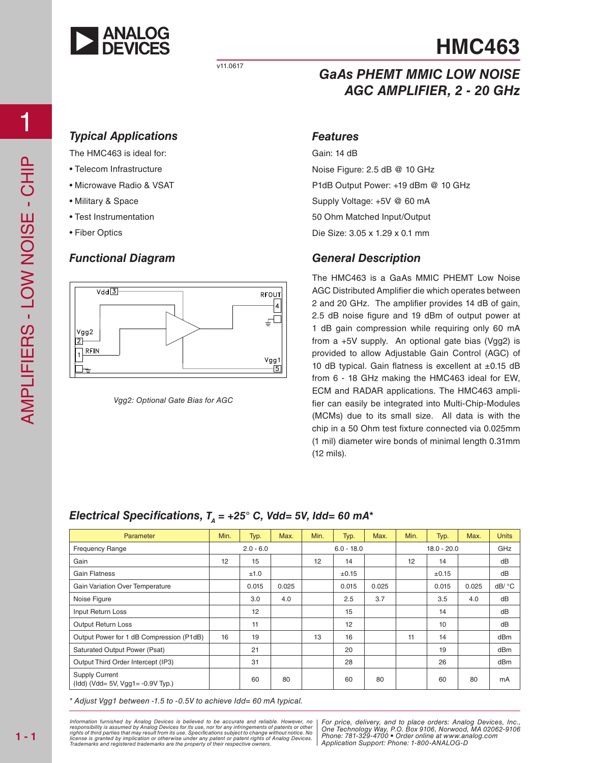

#### v11.0617

# **HMC463**

### *GaAs PHEMT MMIC LOW NOISE AGC AMPLIFIER, 2 - 20 GHz*

### *Typical Applications*

The HMC463 is ideal for:

- Telecom Infrastructure
- Microwave Radio & VSAT
- Military & Space
- Test Instrumentation
- Fiber Optics

### *Functional Diagram*



*Vgg2: Optional Gate Bias for AGC*

#### *Features*

Gain: 14 dB Noise Figure: 2.5 dB @ 10 GHz P1dB Output Power: +19 dBm @ 10 GHz Supply Voltage: +5V @ 60 mA 50 Ohm Matched Input/Output Die Size: 3.05 x 1.29 x 0.1 mm

### *General Description*

The HMC463 is a GaAs MMIC PHEMT Low Noise AGC Distributed Amplifier die which operates between 2 and 20 GHz. The amplifier provides 14 dB of gain, 2.5 dB noise figure and 19 dBm of output power at 1 dB gain compression while requiring only 60 mA from a +5V supply. An optional gate bias (Vgg2) is provided to allow Adjustable Gain Control (AGC) of 10 dB typical. Gain flatness is excellent at  $\pm 0.15$  dB from 6 - 18 GHz making the HMC463 ideal for EW, ECM and RADAR applications. The HMC463 amplifier can easily be integrated into Multi-Chip-Modules (MCMs) due to its small size. All data is with the chip in a 50 Ohm test fixture connected via 0.025mm (1 mil) diameter wire bonds of minimal length 0.31mm (12 mils).

### *Electrical Specifications,*  $T<sub>A</sub> = +25$ ° C, Vdd= 5V, Idd= 60 mA<sup>\*</sup>

| Parameter                                                    | Min.        | Typ.  | Max.         | Min. | Typ.          | Max.  | Min. | Typ.       | Max.  | <b>Units</b> |
|--------------------------------------------------------------|-------------|-------|--------------|------|---------------|-------|------|------------|-------|--------------|
| <b>Frequency Range</b>                                       | $2.0 - 6.0$ |       | $6.0 - 18.0$ |      | $18.0 - 20.0$ |       |      | GHz        |       |              |
| Gain                                                         | 12          | 15    |              | 12   | 14            |       | 12   | 14         |       | dB           |
| <b>Gain Flatness</b>                                         |             | ±1.0  |              |      | ±0.15         |       |      | $\pm 0.15$ |       | dB           |
| Gain Variation Over Temperature                              |             | 0.015 | 0.025        |      | 0.015         | 0.025 |      | 0.015      | 0.025 | dB/ °C       |
| Noise Figure                                                 |             | 3.0   | 4.0          |      | 2.5           | 3.7   |      | 3.5        | 4.0   | dB           |
| Input Return Loss                                            |             | 12    |              |      | 15            |       |      | 14         |       | dB           |
| <b>Output Return Loss</b>                                    |             | 11    |              |      | 12            |       |      | 10         |       | dB           |
| Output Power for 1 dB Compression (P1dB)                     | 16          | 19    |              | 13   | 16            |       | 11   | 14         |       | dBm          |
| <b>Saturated Output Power (Psat)</b>                         |             | 21    |              |      | 20            |       |      | 19         |       | dBm          |
| Output Third Order Intercept (IP3)                           |             | 31    |              |      | 28            |       |      | 26         |       | dBm          |
| <b>Supply Current</b><br>$(1dd)$ (Vdd= 5V, Vgg1= -0.9V Typ.) |             | 60    | 80           |      | 60            | 80    |      | 60         | 80    | mA           |

*\* Adjust Vgg1 between -1.5 to -0.5V to achieve Idd= 60 mA typical.*

*formation furnished by Analog Devices is believed to be accurate and reliable. However, no | For price, delivery, and to place orders: Analog Devices, Inc. Phone: <i>Phone: 1819 Phone: 781-910 • One is comer Phone: 781-990 • One is compared to change without notice. No* atent or patent rights of Analog Devices. | *Phone: 101-323-41*<br>their respective owners Information furnished by Analog Devices is believed to be accurate and reliable. However, no<br>responsibility is assumed by Analog Devices for its use, nor for any infringements of patents or other<br>rights of third parties th *Trademarks and registered trademarks are the property of their respective owners.* 

*For price, delivery, and to place orders: Analog Devices, Inc., One Technology Way, P.O. Box 9106, Norwood, MA 02062-9106 Phone: 781-329-4700 • Order online at www.analog.com Application Support: Phone: 1-800-ANALOG-D*

1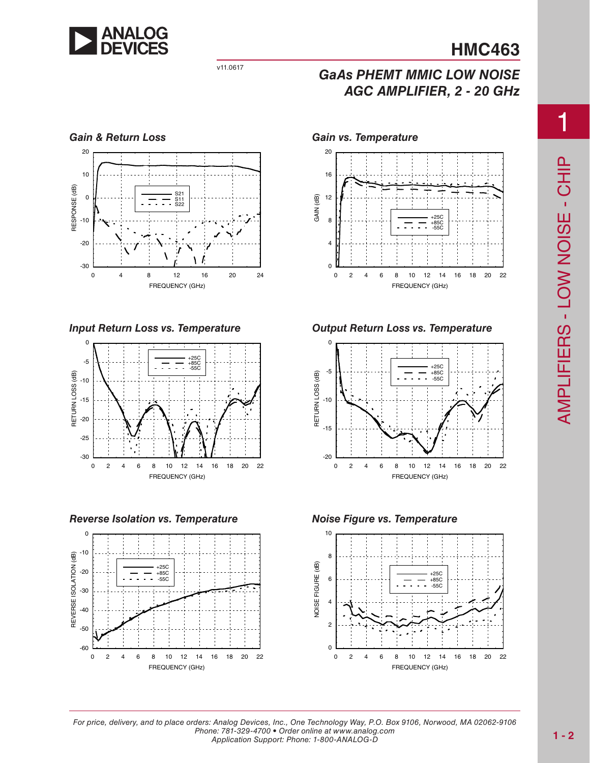

# v11.0617 *GaAs PHEMT MMIC LOW NOISE AGC AMPLIFIER, 2 - 20 GHz*



*Input Return Loss vs. Temperature*



*Reverse Isolation vs. Temperature*







*Output Return Loss vs. Temperature*



*Noise Figure vs. Temperature*



1

*For price, delivery, and to place orders: Analog Devices, Inc., One Technology Way, P.O. Box 9106, Norwood, MA 02062-9106 Phone: 781-329-4700 • Order online at www.analog.com Application Support: Phone: 1-800-ANALOG-D*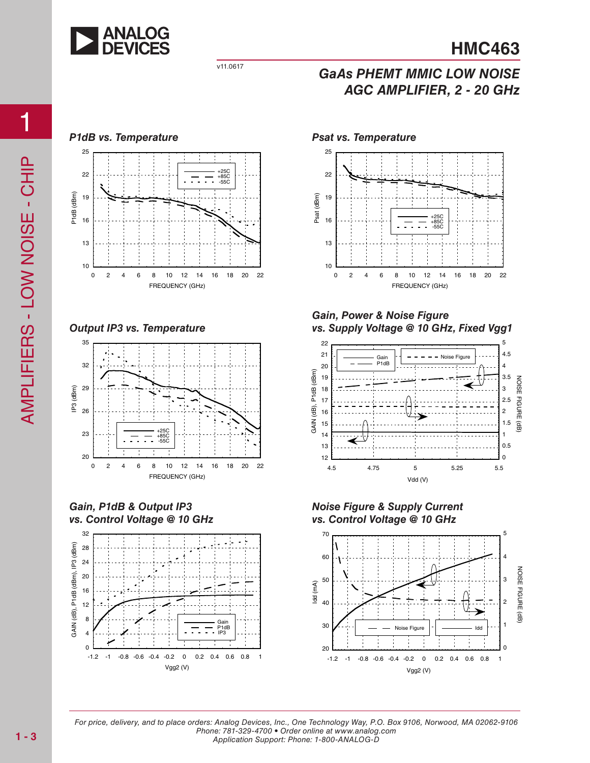

# v11.0617 *GaAs PHEMT MMIC LOW NOISE AGC AMPLIFIER, 2 - 20 GHz*

#### *P1dB vs. Temperature Psat vs. Temperature*



*Output IP3 vs. Temperature*



*Gain, P1dB & Output IP3 vs. Control Voltage @ 10 GHz*







#### *Gain, Power & Noise Figure vs. Supply Voltage @ 10 GHz, Fixed Vgg1*



*Noise Figure & Supply Current vs. Control Voltage @ 10 GHz*



*For price, delivery, and to place orders: Analog Devices, Inc., One Technology Way, P.O. Box 9106, Norwood, MA 02062-9106 Phone: 781-329-4700 • Order online at www.analog.com Application Support: Phone: 1-800-ANALOG-D*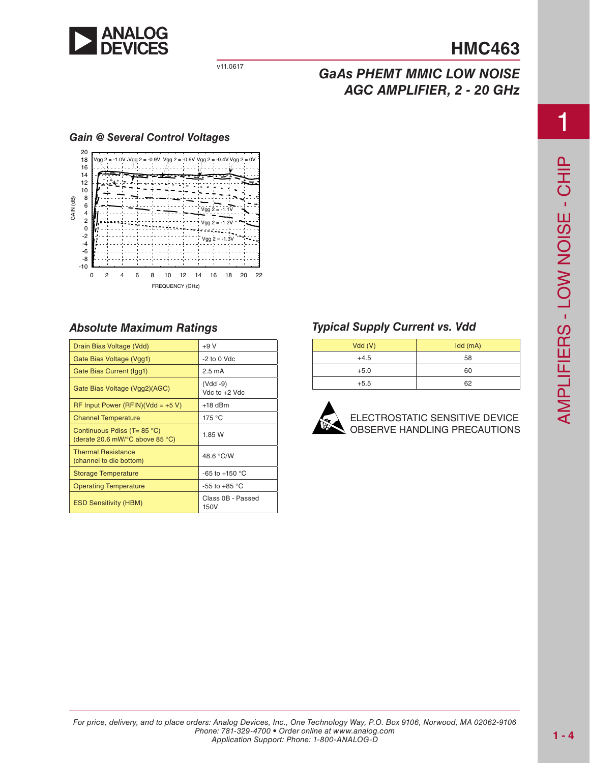

### v11.0617 *GaAs PHEMT MMIC LOW NOISE AGC AMPLIFIER, 2 - 20 GHz*

#### *Gain @ Several Control Voltages*



### *Absolute Maximum Ratings*

| Drain Bias Voltage (Vdd)                                                                   | $+9V$                       |
|--------------------------------------------------------------------------------------------|-----------------------------|
| Gate Bias Voltage (Vgg1)                                                                   | -2 to 0 Vdc                 |
| Gate Bias Current (Igg1)                                                                   | $2.5 \text{ mA}$            |
| Gate Bias Voltage (Vgg2)(AGC)                                                              | (Vdd -9)<br>Vdc to $+2$ Vdc |
| RF Input Power (RFIN)(Vdd = $+5$ V)                                                        | $+18$ dBm                   |
| <b>Channel Temperature</b>                                                                 | 175 °C                      |
| Continuous Pdiss (T= $85^{\circ}$ C)<br>(derate 20.6 mW/ $\degree$ C above 85 $\degree$ C) | 1.85 W                      |
| <b>Thermal Resistance</b><br>(channel to die bottom)                                       | 48.6 °C/W                   |
| <b>Storage Temperature</b>                                                                 | $-65$ to $+150$ °C          |
| <b>Operating Temperature</b>                                                               | -55 to +85 $^{\circ}$ C     |
| <b>ESD Sensitivity (HBM)</b>                                                               | Class 0B - Passed<br>150V   |

### *Typical Supply Current vs. Vdd*

| Vdd(V) | Idd(mA) |
|--------|---------|
| $+4.5$ | 58      |
| $+5.0$ | 60      |
| $+5.5$ | 62      |



ELECTROSTATIC SENSITIVE DEVICE OBSERVE HANDLING PRECAUTIONS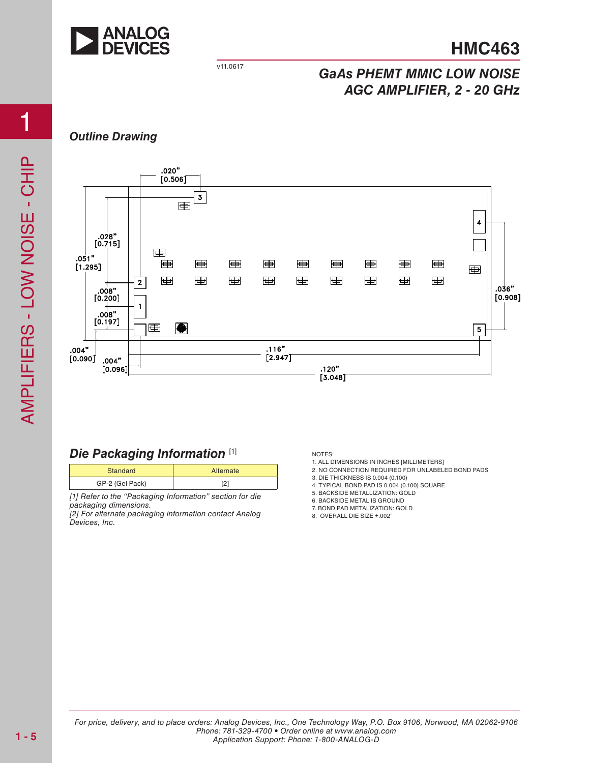

## v11.0617 *GaAs PHEMT MMIC LOW NOISE AGC AMPLIFIER, 2 - 20 GHz*

### *Outline Drawing*



### *Die Packaging Information* [1]

| Standard        | Alternate |
|-----------------|-----------|
| GP-2 (Gel Pack) | ┕         |

*[1] Refer to the "Packaging Information" section for die packaging dimensions.*

*[2] For alternate packaging information contact Analog Devices, Inc.*

NOTES:

1. ALL DIMENSIONS IN INCHES [MILLIMETERS]

- 2. NO CONNECTION REQUIRED FOR UNLABELED BOND PADS
- 3. DIE THICKNESS IS 0.004 (0.100)
- 4. TYPICAL BOND PAD IS 0.004 (0.100) SQUARE
- 5. BACKSIDE METALLIZATION: GOLD

6. BACKSIDE METAL IS GROUND

7. BOND PAD METALIZATION: GOLD

8. OVERALL DIE SIZE ±.002"

*For price, delivery, and to place orders: Analog Devices, Inc., One Technology Way, P.O. Box 9106, Norwood, MA 02062-9106 Phone: 781-329-4700 • Order online at www.analog.com Application Support: Phone: 1-800-ANALOG-D*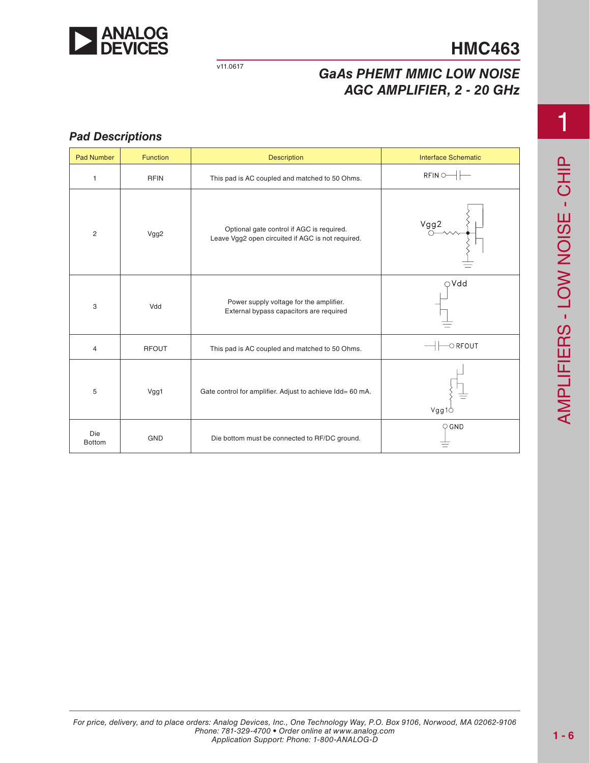

### v11.0617 *GaAs PHEMT MMIC LOW NOISE AGC AMPLIFIER, 2 - 20 GHz*

#### *Pad Descriptions*

| <b>Pad Number</b>    | <b>Function</b> | <b>Description</b>                                                                             | <b>Interface Schematic</b>                                                                                                                                                                                                                                                                                                                                                             |
|----------------------|-----------------|------------------------------------------------------------------------------------------------|----------------------------------------------------------------------------------------------------------------------------------------------------------------------------------------------------------------------------------------------------------------------------------------------------------------------------------------------------------------------------------------|
| $\mathbf{1}$         | <b>RFIN</b>     | This pad is AC coupled and matched to 50 Ohms.                                                 | $RFIN$ $\rightarrow$                                                                                                                                                                                                                                                                                                                                                                   |
| $\overline{c}$       | Vgg2            | Optional gate control if AGC is required.<br>Leave Vgg2 open circuited if AGC is not required. | Vgg2                                                                                                                                                                                                                                                                                                                                                                                   |
| 3                    | Vdd             | Power supply voltage for the amplifier.<br>External bypass capacitors are required             | $\bigcirc$ Vdd                                                                                                                                                                                                                                                                                                                                                                         |
| 4                    | <b>RFOUT</b>    | This pad is AC coupled and matched to 50 Ohms.                                                 | $\left\vert \left\vert \left\langle \right\vert \right\vert$ $\right\vert$ $\left\vert \right\vert$ $\left\vert \right\vert$ $\left\vert \right\vert$ $\left\vert \right\vert$ $\left\vert \right\vert$ $\left\vert \right\vert$ $\left\vert \right\vert$ $\left\vert \right\vert$ $\left\vert \right\vert$ $\left\vert \right\vert$ $\left\vert \right\vert$ $\left\vert \right\vert$ |
| 5                    | Vgg1            | Gate control for amplifier. Adjust to achieve Idd= 60 mA.                                      | Vgg1O                                                                                                                                                                                                                                                                                                                                                                                  |
| Die<br><b>Bottom</b> | <b>GND</b>      | Die bottom must be connected to RF/DC ground.                                                  | $Q$ GND                                                                                                                                                                                                                                                                                                                                                                                |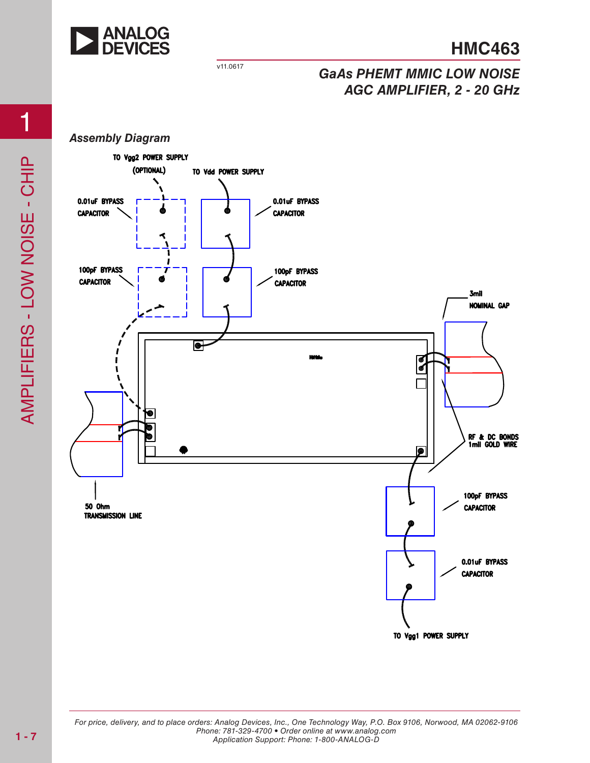

## v11.0617 *GaAs PHEMT MMIC LOW NOISE AGC AMPLIFIER, 2 - 20 GHz*

#### *Assembly Diagram*